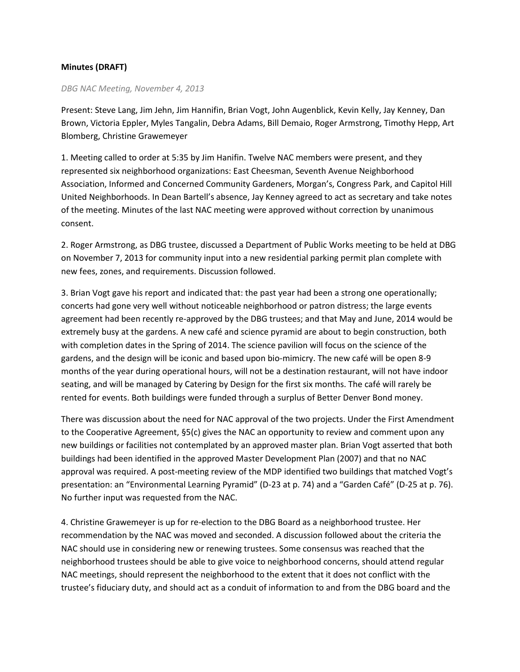## **Minutes (DRAFT)**

## *DBG NAC Meeting, November 4, 2013*

Present: Steve Lang, Jim Jehn, Jim Hannifin, Brian Vogt, John Augenblick, Kevin Kelly, Jay Kenney, Dan Brown, Victoria Eppler, Myles Tangalin, Debra Adams, Bill Demaio, Roger Armstrong, Timothy Hepp, Art Blomberg, Christine Grawemeyer

1. Meeting called to order at 5:35 by Jim Hanifin. Twelve NAC members were present, and they represented six neighborhood organizations: East Cheesman, Seventh Avenue Neighborhood Association, Informed and Concerned Community Gardeners, Morgan's, Congress Park, and Capitol Hill United Neighborhoods. In Dean Bartell's absence, Jay Kenney agreed to act as secretary and take notes of the meeting. Minutes of the last NAC meeting were approved without correction by unanimous consent.

2. Roger Armstrong, as DBG trustee, discussed a Department of Public Works meeting to be held at DBG on November 7, 2013 for community input into a new residential parking permit plan complete with new fees, zones, and requirements. Discussion followed.

3. Brian Vogt gave his report and indicated that: the past year had been a strong one operationally; concerts had gone very well without noticeable neighborhood or patron distress; the large events agreement had been recently re-approved by the DBG trustees; and that May and June, 2014 would be extremely busy at the gardens. A new café and science pyramid are about to begin construction, both with completion dates in the Spring of 2014. The science pavilion will focus on the science of the gardens, and the design will be iconic and based upon bio-mimicry. The new café will be open 8-9 months of the year during operational hours, will not be a destination restaurant, will not have indoor seating, and will be managed by Catering by Design for the first six months. The café will rarely be rented for events. Both buildings were funded through a surplus of Better Denver Bond money.

There was discussion about the need for NAC approval of the two projects. Under the First Amendment to the Cooperative Agreement, §5(c) gives the NAC an opportunity to review and comment upon any new buildings or facilities not contemplated by an approved master plan. Brian Vogt asserted that both buildings had been identified in the approved Master Development Plan (2007) and that no NAC approval was required. A post-meeting review of the MDP identified two buildings that matched Vogt's presentation: an "Environmental Learning Pyramid" (D-23 at p. 74) and a "Garden Café" (D-25 at p. 76). No further input was requested from the NAC.

4. Christine Grawemeyer is up for re-election to the DBG Board as a neighborhood trustee. Her recommendation by the NAC was moved and seconded. A discussion followed about the criteria the NAC should use in considering new or renewing trustees. Some consensus was reached that the neighborhood trustees should be able to give voice to neighborhood concerns, should attend regular NAC meetings, should represent the neighborhood to the extent that it does not conflict with the trustee's fiduciary duty, and should act as a conduit of information to and from the DBG board and the